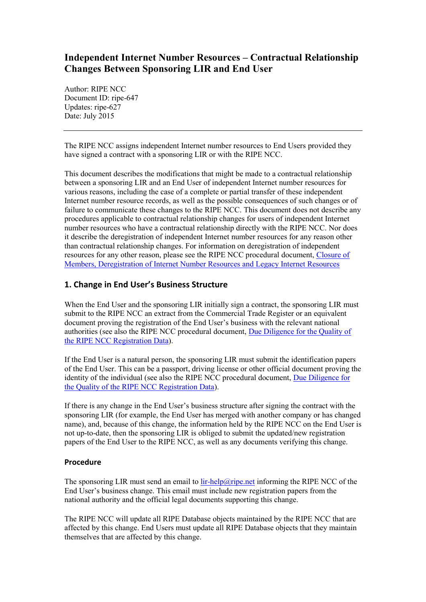# **Independent Internet Number Resources – Contractual Relationship Changes Between Sponsoring LIR and End User**

Author: RIPE NCC Document ID: ripe-647 Updates: ripe-627 Date: July 2015

The RIPE NCC assigns independent Internet number resources to End Users provided they have signed a contract with a sponsoring LIR or with the RIPE NCC.

This document describes the modifications that might be made to a contractual relationship between a sponsoring LIR and an End User of independent Internet number resources for various reasons, including the case of a complete or partial transfer of these independent Internet number resource records, as well as the possible consequences of such changes or of failure to communicate these changes to the RIPE NCC. This document does not describe any procedures applicable to contractual relationship changes for users of independent Internet number resources who have a contractual relationship directly with the RIPE NCC. Nor does it describe the deregistration of independent Internet number resources for any reason other than contractual relationship changes. For information on deregistration of independent resources for any other reason, please see the RIPE NCC procedural document, [Closure of](https://www.ripe.net/publications/docs/ripe-640)  Members, [Deregistration of Internet Number Resources](https://www.ripe.net/publications/docs/ripe-640) and Legacy Internet Resources

## **1. Change in End User's Business Structure**

When the End User and the sponsoring LIR initially sign a contract, the sponsoring LIR must submit to the RIPE NCC an extract from the Commercial Trade Register or an equivalent document proving the registration of the End User's business with the relevant national authorities (see also the RIPE NCC procedural document, [Due Diligence for the Quality of](http://www.ripe.net/ripe/docs/due-diligence)  [the RIPE NCC Registration Data\)](http://www.ripe.net/ripe/docs/due-diligence).

If the End User is a natural person, the sponsoring LIR must submit the identification papers of the End User. This can be a passport, driving license or other official document proving the identity of the individual (see also the RIPE NCC procedural document, Due Diligence for [the Quality of the RIPE NCC Registration Data\)](http://www.ripe.net/ripe/docs/due-diligence).

If there is any change in the End User's business structure after signing the contract with the sponsoring LIR (for example, the End User has merged with another company or has changed name), and, because of this change, the information held by the RIPE NCC on the End User is not up-to-date, then the sponsoring LIR is obliged to submit the updated/new registration papers of the End User to the RIPE NCC, as well as any documents verifying this change.

### **Procedure**

The sponsoring LIR must send an email to lin-help@ripe.net informing the RIPE NCC of the End User's business change. This email must include new registration papers from the national authority and the official legal documents supporting this change.

The RIPE NCC will update all RIPE Database objects maintained by the RIPE NCC that are affected by this change. End Users must update all RIPE Database objects that they maintain themselves that are affected by this change.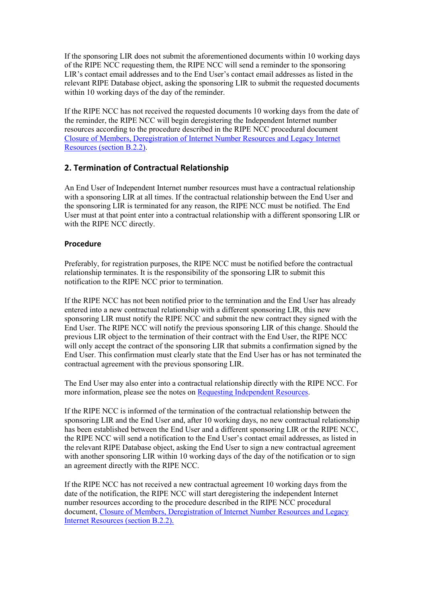If the sponsoring LIR does not submit the aforementioned documents within 10 working days of the RIPE NCC requesting them, the RIPE NCC will send a reminder to the sponsoring LIR's contact email addresses and to the End User's contact email addresses as listed in the relevant RIPE Database object, asking the sponsoring LIR to submit the requested documents within 10 working days of the day of the reminder.

If the RIPE NCC has not received the requested documents 10 working days from the date of the reminder, the RIPE NCC will begin deregistering the Independent Internet number resources according to the procedure described in the RIPE NCC procedural document [Closure of Members, Deregistration of Internet Number Resources](https://www.ripe.net/publications/docs/ripe-640#b22) and Legacy Internet Resources [\(section B.2.2\).](https://www.ripe.net/publications/docs/ripe-640#b22)

## **2. Termination of Contractual Relationship**

An End User of Independent Internet number resources must have a contractual relationship with a sponsoring LIR at all times. If the contractual relationship between the End User and the sponsoring LIR is terminated for any reason, the RIPE NCC must be notified. The End User must at that point enter into a contractual relationship with a different sponsoring LIR or with the RIPE NCC directly.

### **Procedure**

Preferably, for registration purposes, the RIPE NCC must be notified before the contractual relationship terminates. It is the responsibility of the sponsoring LIR to submit this notification to the RIPE NCC prior to termination.

If the RIPE NCC has not been notified prior to the termination and the End User has already entered into a new contractual relationship with a different sponsoring LIR, this new sponsoring LIR must notify the RIPE NCC and submit the new contract they signed with the End User. The RIPE NCC will notify the previous sponsoring LIR of this change. Should the previous LIR object to the termination of their contract with the End User, the RIPE NCC will only accept the contract of the sponsoring LIR that submits a confirmation signed by the End User. This confirmation must clearly state that the End User has or has not terminated the contractual agreement with the previous sponsoring LIR.

The End User may also enter into a contractual relationship directly with the RIPE NCC. For more information, please see the notes o[n Requesting Independent Resources.](https://www.ripe.net/lir-services/independent-resources)

If the RIPE NCC is informed of the termination of the contractual relationship between the sponsoring LIR and the End User and, after 10 working days, no new contractual relationship has been established between the End User and a different sponsoring LIR or the RIPE NCC, the RIPE NCC will send a notification to the End User's contact email addresses, as listed in the relevant RIPE Database object, asking the End User to sign a new contractual agreement with another sponsoring LIR within 10 working days of the day of the notification or to sign an agreement directly with the RIPE NCC.

If the RIPE NCC has not received a new contractual agreement 10 working days from the date of the notification, the RIPE NCC will start deregistering the independent Internet number resources according to the procedure described in the RIPE NCC procedural document, Closure of Members, [Deregistration of Internet Number Resources](https://www.ripe.net/publications/docs/ripe-640#b22) and Legacy [Internet Resources](https://www.ripe.net/publications/docs/ripe-640#b22) (section B.2.2).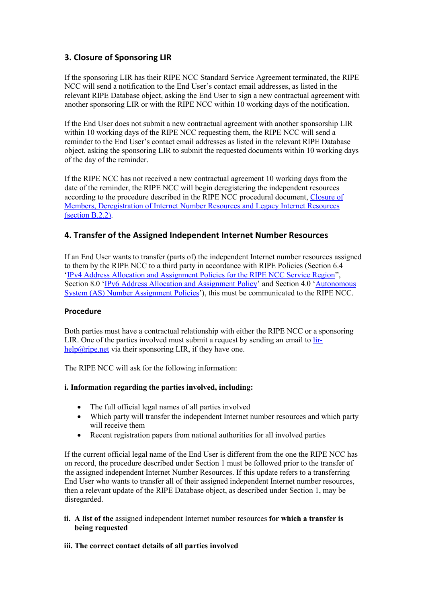# **3. Closure of Sponsoring LIR**

If the sponsoring LIR has their RIPE NCC Standard Service Agreement terminated, the RIPE NCC will send a notification to the End User's contact email addresses, as listed in the relevant RIPE Database object, asking the End User to sign a new contractual agreement with another sponsoring LIR or with the RIPE NCC within 10 working days of the notification.

If the End User does not submit a new contractual agreement with another sponsorship LIR within 10 working days of the RIPE NCC requesting them, the RIPE NCC will send a reminder to the End User's contact email addresses as listed in the relevant RIPE Database object, asking the sponsoring LIR to submit the requested documents within 10 working days of the day of the reminder.

If the RIPE NCC has not received a new contractual agreement 10 working days from the date of the reminder, the RIPE NCC will begin deregistering the independent resources according to the procedure described in the RIPE NCC procedural document, [Closure of](https://www.ripe.net/publications/docs/ripe-640#b22)  [Members, Deregistration of Internet Number Resources](https://www.ripe.net/publications/docs/ripe-640#b22) and Legacy Internet Resources [\(section B.2.2\).](https://www.ripe.net/publications/docs/ripe-640#b22)

## **4. Transfer of the Assigned Independent Internet Number Resources**

If an End User wants to transfer (parts of) the independent Internet number resources assigned to them by the RIPE NCC to a third party in accordance with RIPE Policies (Section 6.4 '[IPv4 Address Allocation and Assignment Policies for the RIPE NCC Service Region](https://www.ripe.net/docs/ipv4-policies#55)", Section 8.0 '[IPv6 Address Allocation and Assignment Policy](https://www.ripe.net/publications/docs/ipv6-policy#8--transfer-of-ipv6-resources)' and Section 4.0 '[Autonomous](https://www.ripe.net/publications/docs/asn-assignment-policies#Transferring)  [System \(AS\) Number Assignment Policies](https://www.ripe.net/publications/docs/asn-assignment-policies#Transferring)'), this must be communicated to the RIPE NCC.

### **Procedure**

Both parties must have a contractual relationship with either the RIPE NCC or a sponsoring LIR. One of the parties involved must submit a request by sending an email to [lir](mailto:lir-help@ripe.net)[help@ripe.net](mailto:lir-help@ripe.net) via their sponsoring LIR, if they have one.

The RIPE NCC will ask for the following information:

### **i. Information regarding the parties involved, including:**

- The full official legal names of all parties involved
- Which party will transfer the independent Internet number resources and which party will receive them
- Recent registration papers from national authorities for all involved parties

If the current official legal name of the End User is different from the one the RIPE NCC has on record, the procedure described under Section 1 must be followed prior to the transfer of the assigned independent Internet Number Resources. If this update refers to a transferring End User who wants to transfer all of their assigned independent Internet number resources, then a relevant update of the RIPE Database object, as described under Section 1, may be disregarded.

**ii. A list of the** assigned independent Internet number resources **for which a transfer is being requested**

#### **iii. The correct contact details of all parties involved**